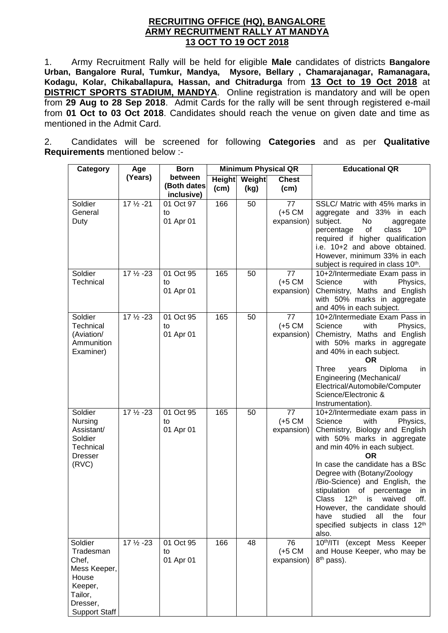### **RECRUITING OFFICE (HQ), BANGALORE ARMY RECRUITMENT RALLY AT MANDYA 13 OCT TO 19 OCT 2018**

1. Army Recruitment Rally will be held for eligible **Male** candidates of districts **Bangalore Urban, Bangalore Rural, Tumkur, Mandya, Mysore, Bellary , Chamarajanagar, Ramanagara, Kodagu, Kolar, Chikaballapura, Hassan, and Chitradurga** from **13 Oct to 19 Oct 2018** at **DISTRICT SPORTS STADIUM, MANDYA**. Online registration is mandatory and will be open from **29 Aug to 28 Sep 2018**. Admit Cards for the rally will be sent through registered e-mail from **01 Oct to 03 Oct 2018**. Candidates should reach the venue on given date and time as mentioned in the Admit Card.

2. Candidates will be screened for following **Categories** and as per **Qualitative Requirements** mentioned below :-

| Category                                                                                                         | Age                  | <b>Born</b>                          | <b>Minimum Physical QR</b> |                              |                                       | <b>Educational QR</b>                                                                                                                                                                                                                                                                                                                                                                                                                                                                          |
|------------------------------------------------------------------------------------------------------------------|----------------------|--------------------------------------|----------------------------|------------------------------|---------------------------------------|------------------------------------------------------------------------------------------------------------------------------------------------------------------------------------------------------------------------------------------------------------------------------------------------------------------------------------------------------------------------------------------------------------------------------------------------------------------------------------------------|
|                                                                                                                  | (Years)              | between<br>(Both dates<br>inclusive) | (cm)                       | <b>Height</b> Weight<br>(kg) | <b>Chest</b><br>(cm)                  |                                                                                                                                                                                                                                                                                                                                                                                                                                                                                                |
| Soldier<br>General<br>Duty                                                                                       | $17\frac{1}{2} - 21$ | 01 Oct 97<br>to<br>01 Apr 01         | 166                        | 50                           | 77<br>$(+5 \text{ CM})$<br>expansion) | SSLC/ Matric with 45% marks in<br>aggregate and 33% in each<br>subject.<br>No<br>aggregate<br>10 <sup>th</sup><br>of<br>percentage<br>class<br>required if higher qualification<br>i.e. 10+2 and above obtained.<br>However, minimum 33% in each<br>subject is required in class 10 <sup>th</sup> .                                                                                                                                                                                            |
| Soldier<br>Technical                                                                                             | 17 1/2 - 23          | 01 Oct 95<br>to<br>01 Apr 01         | 165                        | 50                           | 77<br>$(+5 \text{ CM})$<br>expansion) | 10+2/Intermediate Exam pass in<br>Science<br>with<br>Physics,<br>Chemistry, Maths and English<br>with 50% marks in aggregate<br>and 40% in each subject.                                                                                                                                                                                                                                                                                                                                       |
| Soldier<br>Technical<br>(Aviation/<br>Ammunition<br>Examiner)                                                    | 17 1/2 - 23          | 01 Oct 95<br>to<br>01 Apr 01         | 165                        | 50                           | 77<br>$(+5 \text{ CM})$<br>expansion) | 10+2/Intermediate Exam Pass in<br>Science<br>with<br>Physics,<br>Chemistry, Maths and English<br>with 50% marks in aggregate<br>and 40% in each subject.<br><b>OR</b><br>Three<br>Diploma<br>years<br>in.<br>Engineering (Mechanical/<br>Electrical/Automobile/Computer<br>Science/Electronic &<br>Instrumentation).                                                                                                                                                                           |
| Soldier<br>Nursing<br>Assistant/<br>Soldier<br>Technical<br><b>Dresser</b><br>(RVC)                              | 17 1/2 - 23          | 01 Oct 95<br>to<br>01 Apr 01         | 165                        | 50                           | 77<br>$(+5 \text{ CM})$<br>expansion) | 10+2/Intermediate exam pass in<br>Science<br>with<br>Physics,<br>Chemistry, Biology and English<br>with 50% marks in aggregate<br>and min 40% in each subject.<br><b>OR</b><br>In case the candidate has a BSc<br>Degree with (Botany/Zoology<br>/Bio-Science) and English, the<br>stipulation of percentage<br>in<br>$12^{\text{th}}$<br>Class<br>off.<br>is<br>waived<br>However, the candidate should<br>studied<br>have<br>all<br>the<br>four<br>specified subjects in class 12th<br>also. |
| Soldier<br>Tradesman<br>Chef,<br>Mess Keeper,<br>House<br>Keeper,<br>Tailor,<br>Dresser,<br><b>Support Staff</b> | $17\frac{1}{2} - 23$ | 01 Oct 95<br>to<br>01 Apr 01         | 166                        | 48                           | 76<br>$(+5 \text{ CM})$<br>expansion) | 10th/ITI (except Mess Keeper<br>and House Keeper, who may be<br>8 <sup>th</sup> pass).                                                                                                                                                                                                                                                                                                                                                                                                         |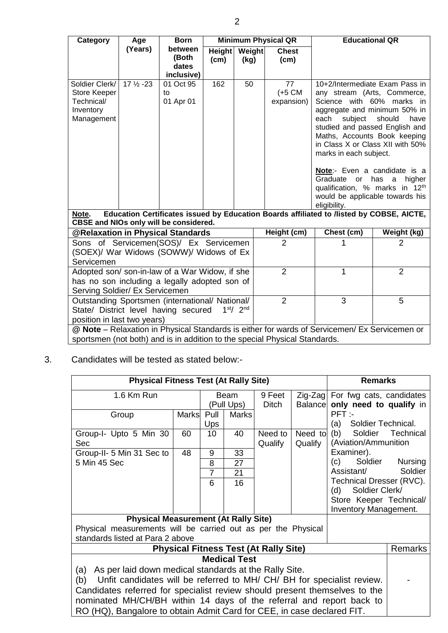| Category                                                                                                                                                   | Age                                                                                                                                | <b>Born</b>                  | <b>Minimum Physical QR</b>       |    |                                       | <b>Educational QR</b>                                                                                                                                                                                                                                                                                                                                                                                            |                |  |
|------------------------------------------------------------------------------------------------------------------------------------------------------------|------------------------------------------------------------------------------------------------------------------------------------|------------------------------|----------------------------------|----|---------------------------------------|------------------------------------------------------------------------------------------------------------------------------------------------------------------------------------------------------------------------------------------------------------------------------------------------------------------------------------------------------------------------------------------------------------------|----------------|--|
|                                                                                                                                                            | (Years)                                                                                                                            | between<br>(Both             | Height<br>Weight<br>(cm)<br>(kg) |    | <b>Chest</b><br>(cm)                  |                                                                                                                                                                                                                                                                                                                                                                                                                  |                |  |
|                                                                                                                                                            |                                                                                                                                    | dates<br>inclusive)          |                                  |    |                                       |                                                                                                                                                                                                                                                                                                                                                                                                                  |                |  |
| Soldier Clerk/<br>Store Keeper<br>Technical/<br>Inventory<br>Management                                                                                    | $17\frac{1}{2} - 23$                                                                                                               | 01 Oct 95<br>to<br>01 Apr 01 | 162                              | 50 | 77<br>$(+5 \text{ CM})$<br>expansion) | 10+2/Intermediate Exam Pass in<br>any stream (Arts, Commerce,<br>Science with 60% marks in<br>aggregate and minimum 50% in<br>subject<br>should<br>each<br>have<br>studied and passed English and<br>Maths, Accounts Book keeping<br>in Class X or Class XII with 50%<br>marks in each subject.<br>Note:- Even a candidate is a<br>Graduate<br>has<br><b>or</b><br>higher<br>a<br>qualification, % marks in 12th |                |  |
|                                                                                                                                                            |                                                                                                                                    |                              |                                  |    |                                       | would be applicable towards his<br>eligibility.                                                                                                                                                                                                                                                                                                                                                                  |                |  |
| Note.                                                                                                                                                      | Education Certificates issued by Education Boards affiliated to /listed by COBSE, AICTE,<br>CBSE and NIOs only will be considered. |                              |                                  |    |                                       |                                                                                                                                                                                                                                                                                                                                                                                                                  |                |  |
| @Relaxation in Physical Standards                                                                                                                          |                                                                                                                                    |                              |                                  |    | Height (cm)                           | Chest (cm)                                                                                                                                                                                                                                                                                                                                                                                                       | Weight (kg)    |  |
| Sons of Servicemen(SOS)/ Ex Servicemen<br>(SOEX)/ War Widows (SOWW)/ Widows of Ex<br>Servicemen                                                            |                                                                                                                                    |                              |                                  |    | $\overline{2}$                        | 1                                                                                                                                                                                                                                                                                                                                                                                                                | $\overline{2}$ |  |
| Adopted son/ son-in-law of a War Widow, if she<br>has no son including a legally adopted son of<br>Serving Soldier/ Ex Servicemen                          |                                                                                                                                    |                              |                                  |    | $\overline{2}$                        | 1                                                                                                                                                                                                                                                                                                                                                                                                                | 2              |  |
| Outstanding Sportsmen (international/ National/<br>1 <sup>st</sup> /2 <sup>nd</sup><br>State/ District level having secured<br>position in last two years) |                                                                                                                                    |                              |                                  |    | $\overline{2}$                        | 3                                                                                                                                                                                                                                                                                                                                                                                                                | 5              |  |
| @ Note - Relaxation in Physical Standards is either for wards of Servicemen/ Ex Servicemen or                                                              |                                                                                                                                    |                              |                                  |    |                                       |                                                                                                                                                                                                                                                                                                                                                                                                                  |                |  |
|                                                                                                                                                            | sportsmen (not both) and is in addition to the special Physical Standards.                                                         |                              |                                  |    |                                       |                                                                                                                                                                                                                                                                                                                                                                                                                  |                |  |

3. Candidates will be tested as stated below:-

| <b>Physical Fitness Test (At Rally Site)</b><br><b>Remarks</b>              |              |                |              |                                              |         |                                        |                |
|-----------------------------------------------------------------------------|--------------|----------------|--------------|----------------------------------------------|---------|----------------------------------------|----------------|
| 1.6 Km Run                                                                  |              | <b>Beam</b>    |              | 9 Feet                                       |         | Zig-Zag For fwg cats, candidates       |                |
|                                                                             |              | (Pull Ups)     |              | Ditch                                        |         | Balance only need to qualify in        |                |
| Group                                                                       | <b>Marks</b> | Pull           | <b>Marks</b> |                                              |         | PFT:                                   |                |
|                                                                             |              | Ups            |              |                                              |         | Soldier Technical.<br>(a)              |                |
| Group-I- Upto 5 Min 30                                                      | 60           | 10             | 40           | Need to                                      | Need to | Soldier<br>(b)                         | Technical      |
| Sec                                                                         |              |                |              | Qualify                                      | Qualify | (Aviation/Ammunition                   |                |
| Group-II- 5 Min 31 Sec to                                                   | 48           | 9              | 33           |                                              |         | Examiner).                             |                |
| 5 Min 45 Sec                                                                |              | 8              | 27           |                                              |         | (c)<br>Soldier                         | <b>Nursing</b> |
|                                                                             |              | $\overline{7}$ | 21           |                                              |         | Assistant/<br>Technical Dresser (RVC). | Soldier        |
|                                                                             |              | 6              | 16           |                                              |         | (d) Soldier Clerk/                     |                |
|                                                                             |              |                |              |                                              |         | Store Keeper Technical/                |                |
|                                                                             |              |                |              |                                              |         | Inventory Management.                  |                |
| <b>Physical Measurement (At Rally Site)</b>                                 |              |                |              |                                              |         |                                        |                |
| Physical measurements will be carried out as per the Physical               |              |                |              |                                              |         |                                        |                |
| standards listed at Para 2 above                                            |              |                |              |                                              |         |                                        |                |
|                                                                             |              |                |              | <b>Physical Fitness Test (At Rally Site)</b> |         |                                        | <b>Remarks</b> |
| <b>Medical Test</b>                                                         |              |                |              |                                              |         |                                        |                |
| As per laid down medical standards at the Rally Site.<br>(a)                |              |                |              |                                              |         |                                        |                |
| Unfit candidates will be referred to MH/CH/BH for specialist review.<br>(b) |              |                |              |                                              |         |                                        |                |
| Candidates referred for specialist review should present themselves to the  |              |                |              |                                              |         |                                        |                |
| nominated MH/CH/BH within 14 days of the referral and report back to        |              |                |              |                                              |         |                                        |                |
| RO (HQ), Bangalore to obtain Admit Card for CEE, in case declared FIT.      |              |                |              |                                              |         |                                        |                |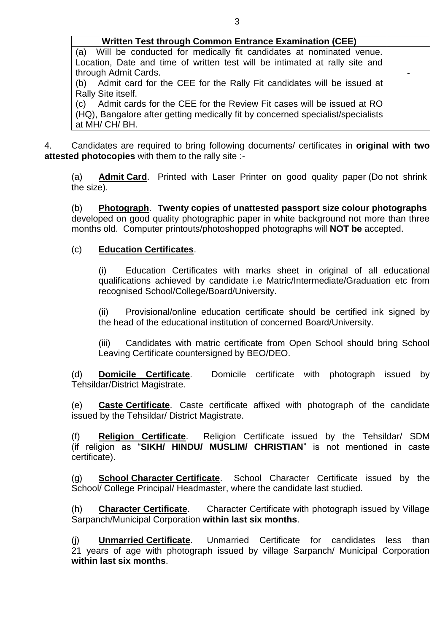| Written Test through Common Entrance Examination (CEE)                          |  |  |  |  |
|---------------------------------------------------------------------------------|--|--|--|--|
| (a) Will be conducted for medically fit candidates at nominated venue.          |  |  |  |  |
| Location, Date and time of written test will be intimated at rally site and     |  |  |  |  |
| through Admit Cards.                                                            |  |  |  |  |
| Admit card for the CEE for the Rally Fit candidates will be issued at<br>(b)    |  |  |  |  |
| Rally Site itself.                                                              |  |  |  |  |
| Admit cards for the CEE for the Review Fit cases will be issued at RO<br>(c)    |  |  |  |  |
| (HQ), Bangalore after getting medically fit by concerned specialist/specialists |  |  |  |  |
| at MH/CH/BH.                                                                    |  |  |  |  |

4. Candidates are required to bring following documents/ certificates in **original with two attested photocopies** with them to the rally site :-

(a) **Admit Card**. Printed with Laser Printer on good quality paper (Do not shrink the size).

(b) **Photograph**. **Twenty copies of unattested passport size colour photographs**  developed on good quality photographic paper in white background not more than three months old. Computer printouts/photoshopped photographs will **NOT be** accepted.

# (c) **Education Certificates**.

(i) Education Certificates with marks sheet in original of all educational qualifications achieved by candidate i.e Matric/Intermediate/Graduation etc from recognised School/College/Board/University.

(ii) Provisional/online education certificate should be certified ink signed by the head of the educational institution of concerned Board/University.

(iii) Candidates with matric certificate from Open School should bring School Leaving Certificate countersigned by BEO/DEO.

(d) **Domicile Certificate**. Domicile certificate with photograph issued by Tehsildar/District Magistrate.

(e) **Caste Certificate**. Caste certificate affixed with photograph of the candidate issued by the Tehsildar/ District Magistrate.

(f) **Religion Certificate**. Religion Certificate issued by the Tehsildar/ SDM (if religion as "**SIKH/ HINDU/ MUSLIM/ CHRISTIAN**" is not mentioned in caste certificate).

(g) **School Character Certificate**. School Character Certificate issued by the School/ College Principal/ Headmaster, where the candidate last studied.

(h) **Character Certificate**. Character Certificate with photograph issued by Village Sarpanch/Municipal Corporation **within last six months**.

(j) **Unmarried Certificate**. Unmarried Certificate for candidates less than 21 years of age with photograph issued by village Sarpanch/ Municipal Corporation **within last six months**.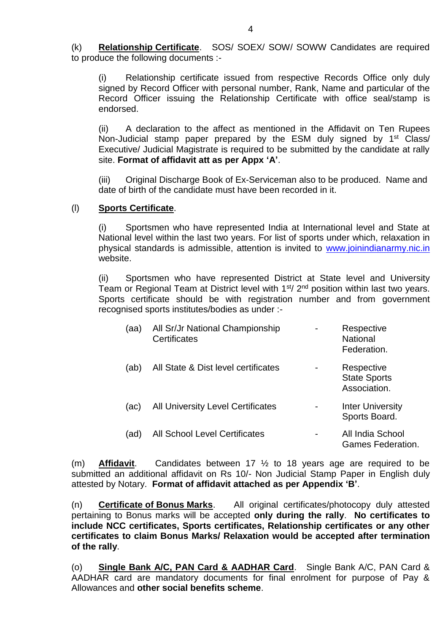(k) **Relationship Certificate**. SOS/ SOEX/ SOW/ SOWW Candidates are required to produce the following documents :-

(i) Relationship certificate issued from respective Records Office only duly signed by Record Officer with personal number, Rank, Name and particular of the Record Officer issuing the Relationship Certificate with office seal/stamp is endorsed.

(ii) A declaration to the affect as mentioned in the Affidavit on Ten Rupees Non-Judicial stamp paper prepared by the ESM duly signed by 1<sup>st</sup> Class/ Executive/ Judicial Magistrate is required to be submitted by the candidate at rally site. **Format of affidavit att as per Appx 'A'**.

(iii) Original Discharge Book of Ex-Serviceman also to be produced. Name and date of birth of the candidate must have been recorded in it.

#### (l) **Sports Certificate**.

(i) Sportsmen who have represented India at International level and State at National level within the last two years. For list of sports under which, relaxation in physical standards is admissible, attention is invited to [www.joinindianarmy.nic.in](http://www.joinindianarmy.nic.in/) website.

(ii) Sportsmen who have represented District at State level and University Team or Regional Team at District level with 1<sup>st</sup>/ 2<sup>nd</sup> position within last two years. Sports certificate should be with registration number and from government recognised sports institutes/bodies as under :-

| (aa) | All Sr/Jr National Championship<br>Certificates | Respective<br><b>National</b><br>Federation.      |
|------|-------------------------------------------------|---------------------------------------------------|
| (ab) | All State & Dist level certificates             | Respective<br><b>State Sports</b><br>Association. |
| (ac) | <b>All University Level Certificates</b>        | <b>Inter University</b><br>Sports Board.          |
| (ad) | <b>All School Level Certificates</b>            | All India School<br><b>Games Federation.</b>      |

(m) **Affidavit**. Candidates between 17 ½ to 18 years age are required to be submitted an additional affidavit on Rs 10/- Non Judicial Stamp Paper in English duly attested by Notary. **Format of affidavit attached as per Appendix 'B'**.

(n) **Certificate of Bonus Marks**. All original certificates/photocopy duly attested pertaining to Bonus marks will be accepted **only during the rally**. **No certificates to include NCC certificates, Sports certificates, Relationship certificates or any other certificates to claim Bonus Marks/ Relaxation would be accepted after termination of the rally**.

(o) **Single Bank A/C, PAN Card & AADHAR Card**. Single Bank A/C, PAN Card & AADHAR card are mandatory documents for final enrolment for purpose of Pay & Allowances and **other social benefits scheme**.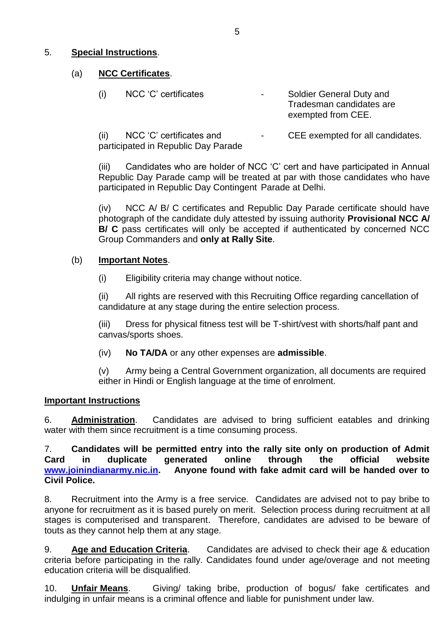## 5. **Special Instructions**.

### (a) **NCC Certificates**.

| (i)  | NCC 'C' certificates     |  | Soldier General Duty and<br>Tradesman candidates are<br>exempted from CEE. |
|------|--------------------------|--|----------------------------------------------------------------------------|
| (ii) | NCC 'C' certificates and |  | CEE exempted for all candidates.                                           |

participated in Republic Day Parade

(iii) Candidates who are holder of NCC 'C' cert and have participated in Annual Republic Day Parade camp will be treated at par with those candidates who have participated in Republic Day Contingent Parade at Delhi.

(iv) NCC A/ B/ C certificates and Republic Day Parade certificate should have photograph of the candidate duly attested by issuing authority **Provisional NCC A/ B/ C** pass certificates will only be accepted if authenticated by concerned NCC Group Commanders and **only at Rally Site**.

## (b) **Important Notes**.

(i) Eligibility criteria may change without notice.

(ii) All rights are reserved with this Recruiting Office regarding cancellation of candidature at any stage during the entire selection process.

(iii) Dress for physical fitness test will be T-shirt/vest with shorts/half pant and canvas/sports shoes.

(iv) **No TA/DA** or any other expenses are **admissible**.

(v) Army being a Central Government organization, all documents are required either in Hindi or English language at the time of enrolment.

### **Important Instructions**

6. **Administration**. Candidates are advised to bring sufficient eatables and drinking water with them since recruitment is a time consuming process.

7. **Candidates will be permitted entry into the rally site only on production of Admit Card in duplicate generated online through the official website [www.joinindianarmy.nic.in.](http://www.joinindianarmy.nic.in/) Anyone found with fake admit card will be handed over to Civil Police.**

8. Recruitment into the Army is a free service. Candidates are advised not to pay bribe to anyone for recruitment as it is based purely on merit. Selection process during recruitment at all stages is computerised and transparent. Therefore, candidates are advised to be beware of touts as they cannot help them at any stage.

9. **Age and Education Criteria**. Candidates are advised to check their age & education criteria before participating in the rally. Candidates found under age/overage and not meeting education criteria will be disqualified.

10. **Unfair Means**. Giving/ taking bribe, production of bogus/ fake certificates and indulging in unfair means is a criminal offence and liable for punishment under law.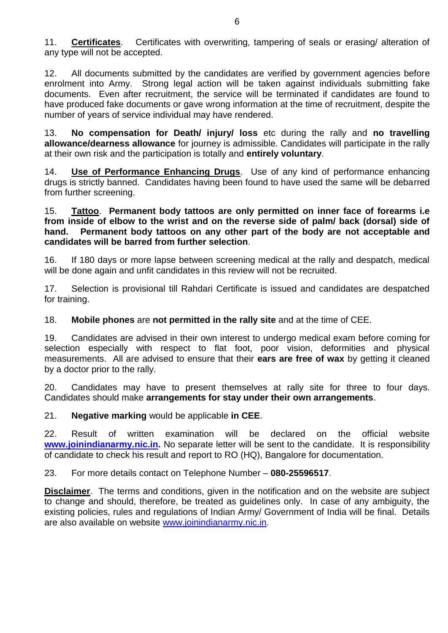11. **Certificates**. Certificates with overwriting, tampering of seals or erasing/ alteration of any type will not be accepted.

12. All documents submitted by the candidates are verified by government agencies before enrolment into Army. Strong legal action will be taken against individuals submitting fake documents. Even after recruitment, the service will be terminated if candidates are found to have produced fake documents or gave wrong information at the time of recruitment, despite the number of years of service individual may have rendered.

13. **No compensation for Death/ injury/ loss** etc during the rally and **no travelling allowance/dearness allowance** for journey is admissible. Candidates will participate in the rally at their own risk and the participation is totally and **entirely voluntary**.

14. **Use of Performance Enhancing Drugs**. Use of any kind of performance enhancing drugs is strictly banned. Candidates having been found to have used the same will be debarred from further screening.

15. **Tattoo**. **Permanent body tattoos are only permitted on inner face of forearms i.e from inside of elbow to the wrist and on the reverse side of palm/ back (dorsal) side of hand. Permanent body tattoos on any other part of the body are not acceptable and candidates will be barred from further selection**.

16. If 180 days or more lapse between screening medical at the rally and despatch, medical will be done again and unfit candidates in this review will not be recruited.

17. Selection is provisional till Rahdari Certificate is issued and candidates are despatched for training.

18. **Mobile phones** are **not permitted in the rally site** and at the time of CEE.

19. Candidates are advised in their own interest to undergo medical exam before coming for selection especially with respect to flat foot, poor vision, deformities and physical measurements. All are advised to ensure that their **ears are free of wax** by getting it cleaned by a doctor prior to the rally.

20. Candidates may have to present themselves at rally site for three to four days. Candidates should make **arrangements for stay under their own arrangements**.

21. **Negative marking** would be applicable **in CEE**.

22. Result of written examination will be declared on the official website **[www.joinindianarmy.nic.in.](http://www.joinindianarmy.nic.in/)** No separate letter will be sent to the candidate. It is responsibility of candidate to check his result and report to RO (HQ), Bangalore for documentation.

23. For more details contact on Telephone Number – **080-25596517**.

**Disclaimer**. The terms and conditions, given in the notification and on the website are subject to change and should, therefore, be treated as guidelines only. In case of any ambiguity, the existing policies, rules and regulations of Indian Army/ Government of India will be final. Details are also available on website [www.joinindianarmy.nic.in](http://www.joinindianarmy.nic.in/).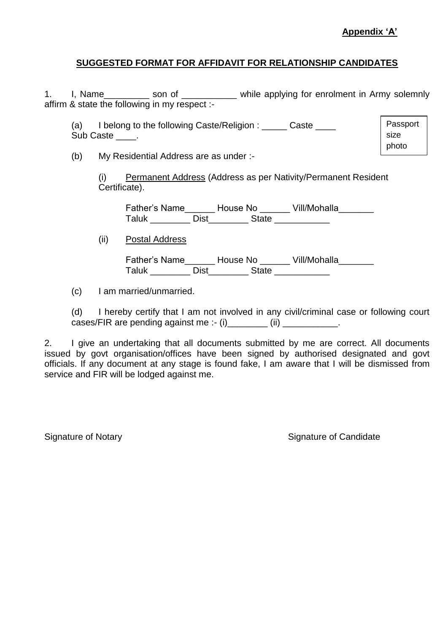## **SUGGESTED FORMAT FOR AFFIDAVIT FOR RELATIONSHIP CANDIDATES**

1. I, Name\_\_\_\_\_\_\_\_\_ son of \_\_\_\_\_\_\_\_\_\_ while applying for enrolment in Army solemnly affirm & state the following in my respect :-

(a) I belong to the following Caste/Religion : \_\_\_\_\_ Caste \_\_\_\_ Sub Caste \_\_\_\_. Passport size photo

(b) My Residential Address are as under :-

(i) Permanent Address (Address as per Nativity/Permanent Resident Certificate).

Father's Name\_\_\_\_\_\_\_ House No \_\_\_\_\_\_ Vill/Mohalla\_\_\_\_\_\_\_ Taluk Dist State

(ii) Postal Address

Father's Name \_\_\_\_\_\_ House No \_\_\_\_\_\_ Vill/Mohalla\_\_\_\_\_\_\_ Taluk \_\_\_\_\_\_\_\_\_ Dist\_\_\_\_\_\_\_\_ State \_\_\_\_\_\_\_\_\_\_\_

(c) I am married/unmarried.

(d) I hereby certify that I am not involved in any civil/criminal case or following court cases/FIR are pending against me :- (i)  $\qquad \qquad$  (ii)  $\qquad \qquad$ 

2. I give an undertaking that all documents submitted by me are correct. All documents issued by govt organisation/offices have been signed by authorised designated and govt officials. If any document at any stage is found fake, I am aware that I will be dismissed from service and FIR will be lodged against me.

Signature of Notary **Signature of Candidate** Signature of Candidate